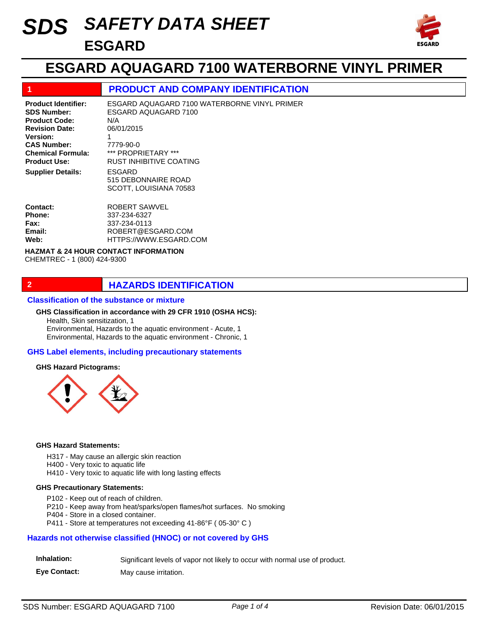# *SAFETY DATA SHEET SDS* **ESGARD**



## **ESGARD AQUAGARD 7100 WATERBORNE VINYL PRIMER**

## **1 PRODUCT AND COMPANY IDENTIFICATION**

ESGARD 515 DEBONNAIRE ROAD SCOTT, LOUISIANA 70583 ROBERT SAWVEL 337-234-6327 ESGARD AQUAGARD 7100 WATERBORNE VINYL PRIMER ESGARD AQUAGARD 7100 N/A 06/01/2015 1 7779-90-0 \*\*\* PROPRIETARY \*\*\* RUST INHIBITIVE COATING **Product Identifier: SDS Number: Product Code: Revision Date: Version: CAS Number: Chemical Formula: Product Use: Contact: Phone: Supplier Details:**

#### 337-234-0113 ROBERT@ESGARD.COM HTTPS://WWW.ESGARD.COM **Fax: Email: Web:**

#### **HAZMAT & 24 HOUR CONTACT INFORMATION**  CHEMTREC - 1 (800) 424-9300

## **2 HAZARDS IDENTIFICATION**

#### **Classification of the substance or mixture**

Health, Skin sensitization, 1 Environmental, Hazards to the aquatic environment - Acute, 1 Environmental, Hazards to the aquatic environment - Chronic, 1 **GHS Classification in accordance with 29 CFR 1910 (OSHA HCS):**

#### **GHS Label elements, including precautionary statements**

#### **GHS Hazard Pictograms:**



#### **GHS Hazard Statements:**

H317 - May cause an allergic skin reaction

- H400 Very toxic to aquatic life
- H410 Very toxic to aquatic life with long lasting effects

#### **GHS Precautionary Statements:**

- P102 Keep out of reach of children.
- P210 Keep away from heat/sparks/open flames/hot surfaces. No smoking
- P404 Store in a closed container.
- P411 Store at temperatures not exceeding 41-86°F ( 05-30° C )

### **Hazards not otherwise classified (HNOC) or not covered by GHS**

| Inhalation: | Significant levels of vapor not likely to occur with normal use of product. |  |  |  |  |
|-------------|-----------------------------------------------------------------------------|--|--|--|--|
|-------------|-----------------------------------------------------------------------------|--|--|--|--|

**Eye Contact:** May cause irritation.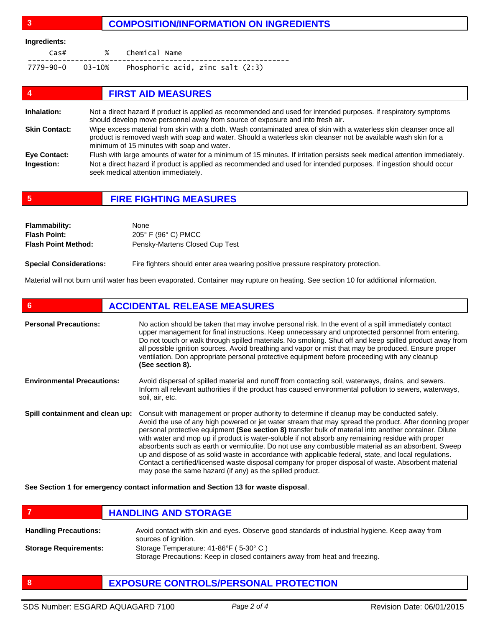## **3 COMPOSITION/INFORMATION ON INGREDIENTS**

#### **Ingredients:**

| Cas# | % Chemical Name                                           |
|------|-----------------------------------------------------------|
|      | $7779 - 90 - 0$ 03-10% Phosphoric acid, zinc salt $(2:3)$ |

| 4                    | <b>FIRST AID MEASURES</b>                                                                                                                                                                                                                                                           |
|----------------------|-------------------------------------------------------------------------------------------------------------------------------------------------------------------------------------------------------------------------------------------------------------------------------------|
| Inhalation:          | Not a direct hazard if product is applied as recommended and used for intended purposes. If respiratory symptoms<br>should develop move personnel away from source of exposure and into fresh air.                                                                                  |
| <b>Skin Contact:</b> | Wipe excess material from skin with a cloth. Wash contaminated area of skin with a waterless skin cleanser once all<br>product is removed wash with soap and water. Should a waterless skin cleanser not be available wash skin for a<br>minimum of 15 minutes with soap and water. |
| <b>Eye Contact:</b>  | Flush with large amounts of water for a minimum of 15 minutes. If irritation persists seek medical attention immediately.                                                                                                                                                           |
| Ingestion:           | Not a direct hazard if product is applied as recommended and used for intended purposes. If ingestion should occur<br>seek medical attention immediately.                                                                                                                           |

**5 FIRE FIGHTING MEASURES**

| <b>Flammability:</b>       | None                           |
|----------------------------|--------------------------------|
| <b>Flash Point:</b>        | 205° F (96° C) PMCC            |
| <b>Flash Point Method:</b> | Pensky-Martens Closed Cup Test |
|                            |                                |

**Special Considerations:** Fire fighters should enter area wearing positive pressure respiratory protection.

Material will not burn until water has been evaporated. Container may rupture on heating. See section 10 for additional information.

| 6                                 | <b>ACCIDENTAL RELEASE MEASURES</b>                                                                                                                                                                                                                                                                                                                                                                                                                                                                                                                                                                                                                                                                                                                                                                          |  |
|-----------------------------------|-------------------------------------------------------------------------------------------------------------------------------------------------------------------------------------------------------------------------------------------------------------------------------------------------------------------------------------------------------------------------------------------------------------------------------------------------------------------------------------------------------------------------------------------------------------------------------------------------------------------------------------------------------------------------------------------------------------------------------------------------------------------------------------------------------------|--|
| <b>Personal Precautions:</b>      | No action should be taken that may involve personal risk. In the event of a spill immediately contact<br>upper management for final instructions. Keep unnecessary and unprotected personnel from entering.<br>Do not touch or walk through spilled materials. No smoking. Shut off and keep spilled product away from<br>all possible ignition sources. Avoid breathing and vapor or mist that may be produced. Ensure proper<br>ventilation. Don appropriate personal protective equipment before proceeding with any cleanup<br>(See section 8).                                                                                                                                                                                                                                                         |  |
| <b>Environmental Precautions:</b> | Avoid dispersal of spilled material and runoff from contacting soil, waterways, drains, and sewers.<br>Inform all relevant authorities if the product has caused environmental pollution to sewers, waterways,<br>soil, air, etc.                                                                                                                                                                                                                                                                                                                                                                                                                                                                                                                                                                           |  |
| Spill containment and clean up:   | Consult with management or proper authority to determine if cleanup may be conducted safely.<br>Avoid the use of any high powered or jet water stream that may spread the product. After donning proper<br>personal protective equipment (See section 8) transfer bulk of material into another container. Dilute<br>with water and mop up if product is water-soluble if not absorb any remaining residue with proper<br>absorbents such as earth or vermiculite. Do not use any combustible material as an absorbent. Sweep<br>up and dispose of as solid waste in accordance with applicable federal, state, and local regulations.<br>Contact a certified/licensed waste disposal company for proper disposal of waste. Absorbent material<br>may pose the same hazard (if any) as the spilled product. |  |

**See Section 1 for emergency contact information and Section 13 for waste disposal**.

- **FIGURE 12 IN STRUCK AND STORAGE** Avoid contact with skin and eyes. Observe good standards of industrial hygiene. Keep away from sources of ignition. Storage Temperature: 41-86°F ( 5-30° C ) Storage Precautions: Keep in closed containers away from heat and freezing. **Handling Precautions: Storage Requirements:**
- **8 EXPOSURE CONTROLS/PERSONAL PROTECTION**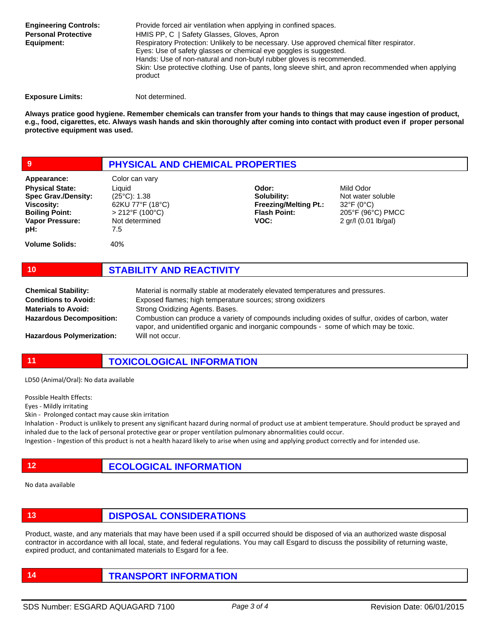Provide forced air ventilation when applying in confined spaces. HMIS PP, C | Safety Glasses, Gloves, Apron Respiratory Protection: Unlikely to be necessary. Use approved chemical filter respirator. Eyes: Use of safety glasses or chemical eye goggles is suggested. Hands: Use of non-natural and non-butyl rubber gloves is recommended. Skin: Use protective clothing. Use of pants, long sleeve shirt, and apron recommended when applying product **Engineering Controls: Personal Protective Equipment:**

**Exposure Limits:** Not determined.

**Always pratice good hygiene. Remember chemicals can transfer from your hands to things that may cause ingestion of product, e.g., food, cigarettes, etc. Always wash hands and skin thoroughly after coming into contact with product even if proper personal protective equipment was used.** 

| ا و                                                                                                                                         | <b>PHYSICAL AND CHEMICAL PROPERTIES</b>                                                                                          |                                                                                     |                                                                                                          |  |
|---------------------------------------------------------------------------------------------------------------------------------------------|----------------------------------------------------------------------------------------------------------------------------------|-------------------------------------------------------------------------------------|----------------------------------------------------------------------------------------------------------|--|
| Appearance:<br><b>Physical State:</b><br><b>Spec Grav./Density:</b><br><b>Viscosity:</b><br><b>Boiling Point:</b><br>Vapor Pressure:<br>pH: | Color can vary<br>Liquid<br>$(25^{\circ}C)$ : 1.38<br>62KU 77°F (18°C)<br>$>212^{\circ}F(100^{\circ}C)$<br>Not determined<br>7.5 | Odor:<br>Solubility:<br><b>Freezing/Melting Pt.:</b><br><b>Flash Point:</b><br>VOC: | Mild Odor<br>Not water soluble<br>$32^{\circ}F(0^{\circ}C)$<br>205°F (96°C) PMCC<br>2 gr/l (0.01 lb/gal) |  |
| <b>Volume Solids:</b>                                                                                                                       | 40%                                                                                                                              |                                                                                     |                                                                                                          |  |

| <b>Chemical Stability:</b>       | Material is normally stable at moderately elevated temperatures and pressures.                                                                                                             |
|----------------------------------|--------------------------------------------------------------------------------------------------------------------------------------------------------------------------------------------|
| <b>Conditions to Avoid:</b>      | Exposed flames; high temperature sources; strong oxidizers                                                                                                                                 |
| <b>Materials to Avoid:</b>       | Strong Oxidizing Agents. Bases.                                                                                                                                                            |
| <b>Hazardous Decomposition:</b>  | Combustion can produce a variety of compounds including oxides of sulfur, oxides of carbon, water<br>vapor, and unidentified organic and inorganic compounds - some of which may be toxic. |
| <b>Hazardous Polymerization:</b> | Will not occur.                                                                                                                                                                            |

**11 TOXICOLOGICAL INFORMATION**

LD50 (Animal/Oral): No data available

Possible Health Effects:

Eyes - Mildly irritating

Skin - Prolonged contact may cause skin irritation

Inhalation - Product is unlikely to present any significant hazard during normal of product use at ambient temperature. Should product be sprayed and inhaled due to the lack of personal protective gear or proper ventilation pulmonary abnormalities could occur.

Ingestion - Ingestion of this product is not a health hazard likely to arise when using and applying product correctly and for intended use.

**12 ECOLOGICAL INFORMATION** 

**10 STABILITY AND REACTIVITY**

No data available

**13 DISPOSAL CONSIDERATIONS**

Product, waste, and any materials that may have been used if a spill occurred should be disposed of via an authorized waste disposal contractor in accordance with all local, state, and federal regulations. You may call Esgard to discuss the possibility of returning waste, expired product, and contanimated materials to Esgard for a fee.

**14 TRANSPORT INFORMATION**